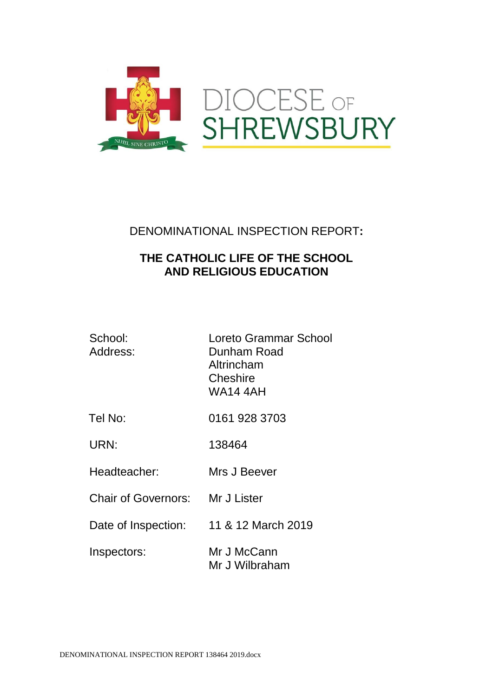

# DENOMINATIONAL INSPECTION REPORT**:**

# **THE CATHOLIC LIFE OF THE SCHOOL AND RELIGIOUS EDUCATION**

| School:<br>Address:        | Loreto Grammar School<br>Dunham Road<br>Altrincham<br>Cheshire<br>WA14 4AH |
|----------------------------|----------------------------------------------------------------------------|
| Tel No:                    | 0161 928 3703                                                              |
| URN:                       | 138464                                                                     |
| Headteacher:               | Mrs J Beever                                                               |
| <b>Chair of Governors:</b> | Mr J Lister                                                                |
| Date of Inspection:        | 11 & 12 March 2019                                                         |
| Inspectors:                | Mr J McCann<br>Mr J Wilbraham                                              |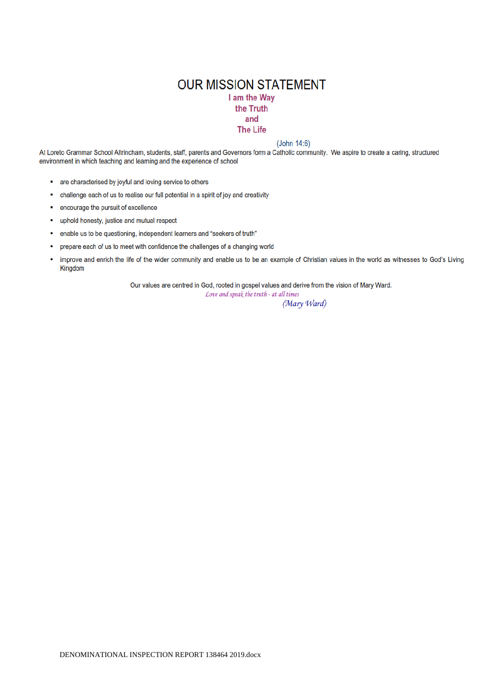## **OUR MISSION STATEMENT** I am the Way the Truth and **The Life**

#### $(John 14:6)$

At Loreto Grammar School Altrincham, students, staff, parents and Governors form a Catholic community. We aspire to create a caring, structured environment in which teaching and learning and the experience of school

- are characterised by joyful and loving service to others
- challenge each of us to realise our full potential in a spirit of joy and creativity  $\blacksquare$
- $\blacksquare$ encourage the pursuit of excellence
- uphold honesty, justice and mutual respect ×
- $\blacksquare$ enable us to be questioning, independent learners and "seekers of truth"
- prepare each of us to meet with confidence the challenges of a changing world  $\blacksquare$
- improve and enrich the life of the wider community and enable us to be an example of Christian values in the world as witnesses to God's Living Î. Kingdom

Our values are centred in God, rooted in gospel values and derive from the vision of Mary Ward.

Love and speak the truth - at all times

(Mary Ward)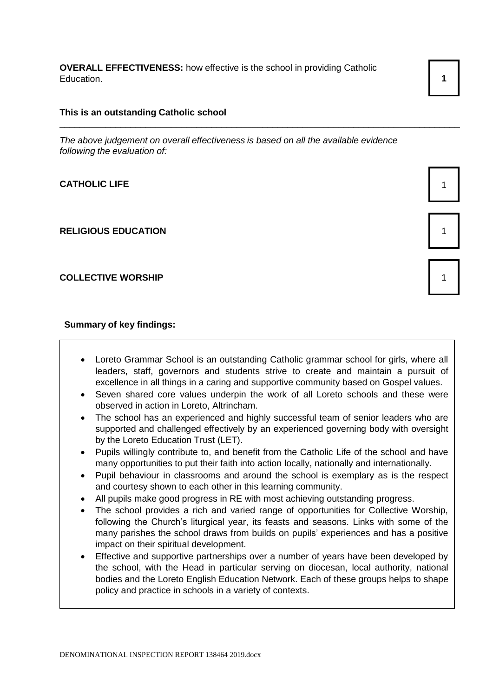**OVERALL EFFECTIVENESS:** how effective is the school in providing Catholic Education. **1** 1

### **This is an outstanding Catholic school**

*The above judgement on overall effectiveness is based on all the available evidence following the evaluation of:*

\_\_\_\_\_\_\_\_\_\_\_\_\_\_\_\_\_\_\_\_\_\_\_\_\_\_\_\_\_\_\_\_\_\_\_\_\_\_\_\_\_\_\_\_\_\_\_\_\_\_\_\_\_\_\_\_\_\_\_\_\_\_\_\_\_\_\_\_\_\_\_\_\_\_\_\_\_\_\_

## **CATHOLIC LIFE** 1

#### **RELIGIOUS EDUCATION** 1

### **COLLECTIVE WORSHIP** 1

#### **Summary of key findings:**

- Loreto Grammar School is an outstanding Catholic grammar school for girls, where all leaders, staff, governors and students strive to create and maintain a pursuit of excellence in all things in a caring and supportive community based on Gospel values.
- Seven shared core values underpin the work of all Loreto schools and these were observed in action in Loreto, Altrincham.
- The school has an experienced and highly successful team of senior leaders who are supported and challenged effectively by an experienced governing body with oversight by the Loreto Education Trust (LET).
- Pupils willingly contribute to, and benefit from the Catholic Life of the school and have many opportunities to put their faith into action locally, nationally and internationally.
- Pupil behaviour in classrooms and around the school is exemplary as is the respect and courtesy shown to each other in this learning community.
- All pupils make good progress in RE with most achieving outstanding progress.
- The school provides a rich and varied range of opportunities for Collective Worship, following the Church's liturgical year, its feasts and seasons. Links with some of the many parishes the school draws from builds on pupils' experiences and has a positive impact on their spiritual development.
- Effective and supportive partnerships over a number of years have been developed by the school, with the Head in particular serving on diocesan, local authority, national bodies and the Loreto English Education Network. Each of these groups helps to shape policy and practice in schools in a variety of contexts.

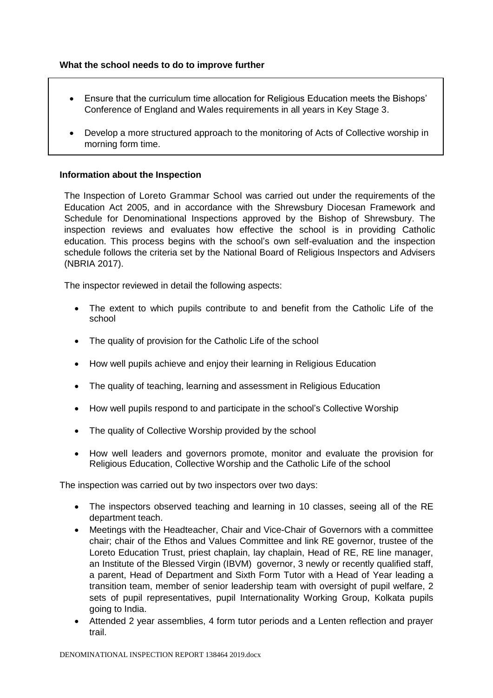## **What the school needs to do to improve further**

- Ensure that the curriculum time allocation for Religious Education meets the Bishops' Conference of England and Wales requirements in all years in Key Stage 3.
- Develop a more structured approach to the monitoring of Acts of Collective worship in morning form time.

## **Information about the Inspection**

The Inspection of Loreto Grammar School was carried out under the requirements of the Education Act 2005, and in accordance with the Shrewsbury Diocesan Framework and Schedule for Denominational Inspections approved by the Bishop of Shrewsbury. The inspection reviews and evaluates how effective the school is in providing Catholic education. This process begins with the school's own self-evaluation and the inspection schedule follows the criteria set by the National Board of Religious Inspectors and Advisers (NBRIA 2017).

The inspector reviewed in detail the following aspects:

- The extent to which pupils contribute to and benefit from the Catholic Life of the school
- The quality of provision for the Catholic Life of the school
- How well pupils achieve and enjoy their learning in Religious Education
- The quality of teaching, learning and assessment in Religious Education
- How well pupils respond to and participate in the school's Collective Worship
- The quality of Collective Worship provided by the school
- How well leaders and governors promote, monitor and evaluate the provision for Religious Education, Collective Worship and the Catholic Life of the school

The inspection was carried out by two inspectors over two days:

- The inspectors observed teaching and learning in 10 classes, seeing all of the RE department teach.
- Meetings with the Headteacher, Chair and Vice-Chair of Governors with a committee chair; chair of the Ethos and Values Committee and link RE governor, trustee of the Loreto Education Trust, priest chaplain, lay chaplain, Head of RE, RE line manager, an Institute of the Blessed Virgin (IBVM) governor, 3 newly or recently qualified staff, a parent, Head of Department and Sixth Form Tutor with a Head of Year leading a transition team, member of senior leadership team with oversight of pupil welfare, 2 sets of pupil representatives, pupil Internationality Working Group, Kolkata pupils going to India.
- Attended 2 year assemblies, 4 form tutor periods and a Lenten reflection and prayer trail.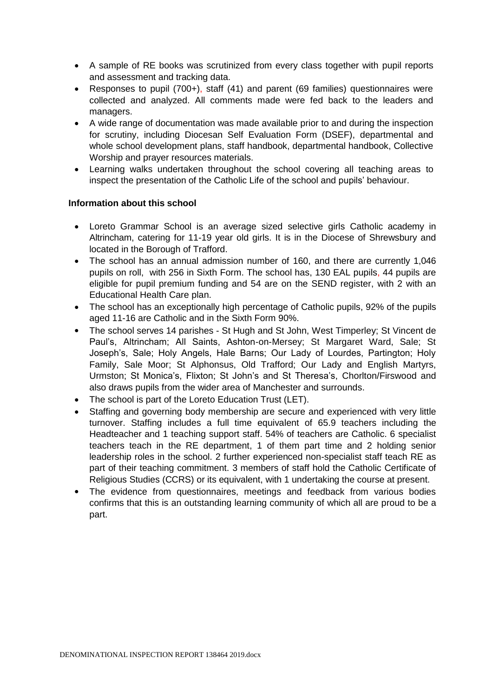- A sample of RE books was scrutinized from every class together with pupil reports and assessment and tracking data.
- Responses to pupil (700+), staff (41) and parent (69 families) questionnaires were collected and analyzed. All comments made were fed back to the leaders and managers.
- A wide range of documentation was made available prior to and during the inspection for scrutiny, including Diocesan Self Evaluation Form (DSEF), departmental and whole school development plans, staff handbook, departmental handbook, Collective Worship and prayer resources materials.
- Learning walks undertaken throughout the school covering all teaching areas to inspect the presentation of the Catholic Life of the school and pupils' behaviour.

## **Information about this school**

- Loreto Grammar School is an average sized selective girls Catholic academy in Altrincham, catering for 11-19 year old girls. It is in the Diocese of Shrewsbury and located in the Borough of Trafford.
- The school has an annual admission number of 160, and there are currently 1,046 pupils on roll, with 256 in Sixth Form. The school has, 130 EAL pupils, 44 pupils are eligible for pupil premium funding and 54 are on the SEND register, with 2 with an Educational Health Care plan.
- The school has an exceptionally high percentage of Catholic pupils, 92% of the pupils aged 11-16 are Catholic and in the Sixth Form 90%.
- The school serves 14 parishes St Hugh and St John, West Timperley; St Vincent de Paul's, Altrincham; All Saints, Ashton-on-Mersey; St Margaret Ward, Sale; St Joseph's, Sale; Holy Angels, Hale Barns; Our Lady of Lourdes, Partington; Holy Family, Sale Moor; St Alphonsus, Old Trafford; Our Lady and English Martyrs, Urmston; St Monica's, Flixton; St John's and St Theresa's, Chorlton/Firswood and also draws pupils from the wider area of Manchester and surrounds.
- The school is part of the Loreto Education Trust (LET).
- Staffing and governing body membership are secure and experienced with very little turnover. Staffing includes a full time equivalent of 65.9 teachers including the Headteacher and 1 teaching support staff. 54% of teachers are Catholic. 6 specialist teachers teach in the RE department, 1 of them part time and 2 holding senior leadership roles in the school. 2 further experienced non-specialist staff teach RE as part of their teaching commitment. 3 members of staff hold the Catholic Certificate of Religious Studies (CCRS) or its equivalent, with 1 undertaking the course at present.
- The evidence from questionnaires, meetings and feedback from various bodies confirms that this is an outstanding learning community of which all are proud to be a part.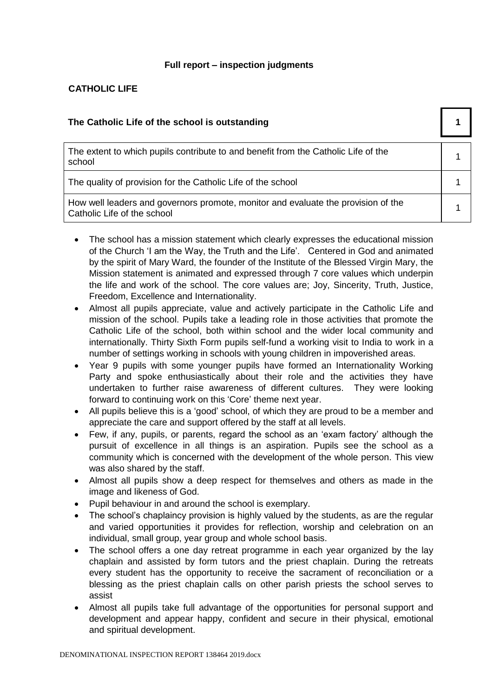## **Full report – inspection judgments**

## **CATHOLIC LIFE**

| The Catholic Life of the school is outstanding                                                                   |  |
|------------------------------------------------------------------------------------------------------------------|--|
| The extent to which pupils contribute to and benefit from the Catholic Life of the<br>school                     |  |
| The quality of provision for the Catholic Life of the school                                                     |  |
| How well leaders and governors promote, monitor and evaluate the provision of the<br>Catholic Life of the school |  |

- The school has a mission statement which clearly expresses the educational mission of the Church 'I am the Way, the Truth and the Life'. Centered in God and animated by the spirit of Mary Ward, the founder of the Institute of the Blessed Virgin Mary, the Mission statement is animated and expressed through 7 core values which underpin the life and work of the school. The core values are; Joy, Sincerity, Truth, Justice, Freedom, Excellence and Internationality.
- Almost all pupils appreciate, value and actively participate in the Catholic Life and mission of the school. Pupils take a leading role in those activities that promote the Catholic Life of the school, both within school and the wider local community and internationally. Thirty Sixth Form pupils self-fund a working visit to India to work in a number of settings working in schools with young children in impoverished areas.
- Year 9 pupils with some younger pupils have formed an Internationality Working Party and spoke enthusiastically about their role and the activities they have undertaken to further raise awareness of different cultures. They were looking forward to continuing work on this 'Core' theme next year.
- All pupils believe this is a 'good' school, of which they are proud to be a member and appreciate the care and support offered by the staff at all levels.
- Few, if any, pupils, or parents, regard the school as an 'exam factory' although the pursuit of excellence in all things is an aspiration. Pupils see the school as a community which is concerned with the development of the whole person. This view was also shared by the staff.
- Almost all pupils show a deep respect for themselves and others as made in the image and likeness of God.
- Pupil behaviour in and around the school is exemplary.
- The school's chaplaincy provision is highly valued by the students, as are the regular and varied opportunities it provides for reflection, worship and celebration on an individual, small group, year group and whole school basis.
- The school offers a one day retreat programme in each year organized by the lay chaplain and assisted by form tutors and the priest chaplain. During the retreats every student has the opportunity to receive the sacrament of reconciliation or a blessing as the priest chaplain calls on other parish priests the school serves to assist
- Almost all pupils take full advantage of the opportunities for personal support and development and appear happy, confident and secure in their physical, emotional and spiritual development.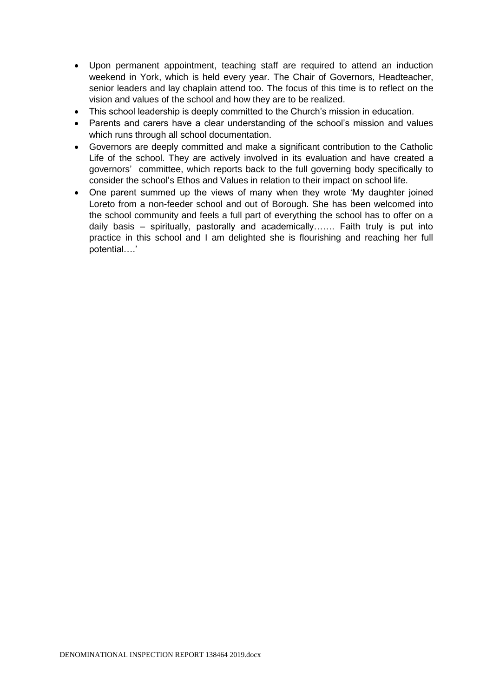- Upon permanent appointment, teaching staff are required to attend an induction weekend in York, which is held every year. The Chair of Governors, Headteacher, senior leaders and lay chaplain attend too. The focus of this time is to reflect on the vision and values of the school and how they are to be realized.
- This school leadership is deeply committed to the Church's mission in education.
- Parents and carers have a clear understanding of the school's mission and values which runs through all school documentation.
- Governors are deeply committed and make a significant contribution to the Catholic Life of the school. They are actively involved in its evaluation and have created a governors' committee, which reports back to the full governing body specifically to consider the school's Ethos and Values in relation to their impact on school life.
- One parent summed up the views of many when they wrote 'My daughter joined Loreto from a non-feeder school and out of Borough. She has been welcomed into the school community and feels a full part of everything the school has to offer on a daily basis – spiritually, pastorally and academically……. Faith truly is put into practice in this school and I am delighted she is flourishing and reaching her full potential….'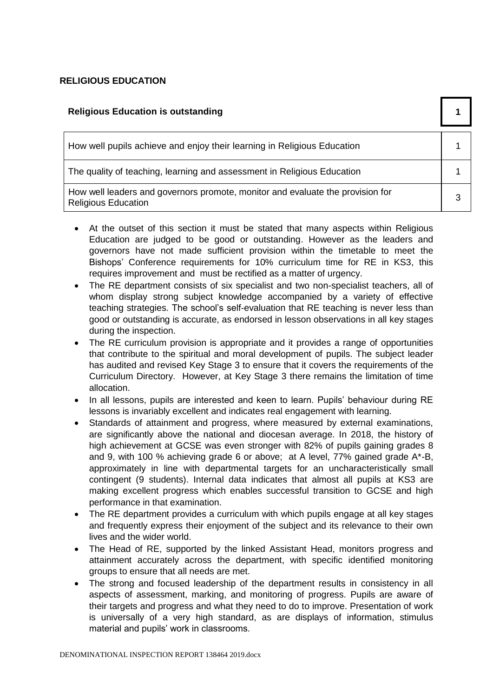## **RELIGIOUS EDUCATION**

| <b>Religious Education is outstanding</b>                                                                    |   |
|--------------------------------------------------------------------------------------------------------------|---|
| How well pupils achieve and enjoy their learning in Religious Education                                      |   |
| The quality of teaching, learning and assessment in Religious Education                                      |   |
| How well leaders and governors promote, monitor and evaluate the provision for<br><b>Religious Education</b> | 3 |

- At the outset of this section it must be stated that many aspects within Religious Education are judged to be good or outstanding. However as the leaders and governors have not made sufficient provision within the timetable to meet the Bishops' Conference requirements for 10% curriculum time for RE in KS3, this requires improvement and must be rectified as a matter of urgency.
- The RE department consists of six specialist and two non-specialist teachers, all of whom display strong subject knowledge accompanied by a variety of effective teaching strategies. The school's self-evaluation that RE teaching is never less than good or outstanding is accurate, as endorsed in lesson observations in all key stages during the inspection.
- The RE curriculum provision is appropriate and it provides a range of opportunities that contribute to the spiritual and moral development of pupils. The subject leader has audited and revised Key Stage 3 to ensure that it covers the requirements of the Curriculum Directory. However, at Key Stage 3 there remains the limitation of time allocation.
- In all lessons, pupils are interested and keen to learn. Pupils' behaviour during RE lessons is invariably excellent and indicates real engagement with learning.
- Standards of attainment and progress, where measured by external examinations, are significantly above the national and diocesan average. In 2018, the history of high achievement at GCSE was even stronger with 82% of pupils gaining grades 8 and 9, with 100 % achieving grade 6 or above; at A level, 77% gained grade A\*-B, approximately in line with departmental targets for an uncharacteristically small contingent (9 students). Internal data indicates that almost all pupils at KS3 are making excellent progress which enables successful transition to GCSE and high performance in that examination.
- The RE department provides a curriculum with which pupils engage at all key stages and frequently express their enjoyment of the subject and its relevance to their own lives and the wider world.
- The Head of RE, supported by the linked Assistant Head, monitors progress and attainment accurately across the department, with specific identified monitoring groups to ensure that all needs are met.
- The strong and focused leadership of the department results in consistency in all aspects of assessment, marking, and monitoring of progress. Pupils are aware of their targets and progress and what they need to do to improve. Presentation of work is universally of a very high standard, as are displays of information, stimulus material and pupils' work in classrooms.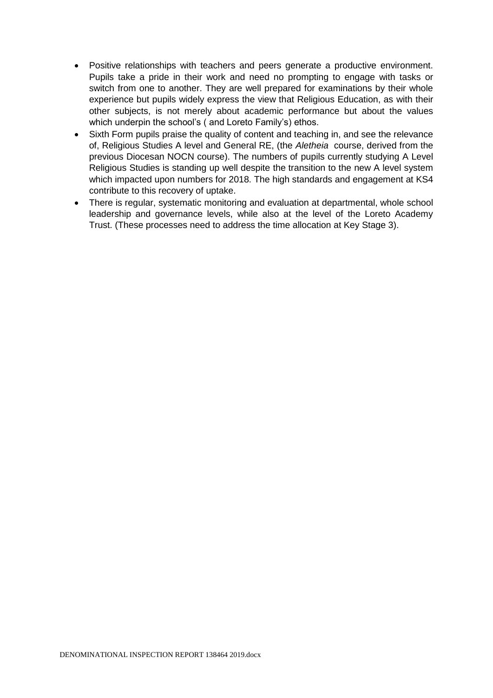- Positive relationships with teachers and peers generate a productive environment. Pupils take a pride in their work and need no prompting to engage with tasks or switch from one to another. They are well prepared for examinations by their whole experience but pupils widely express the view that Religious Education, as with their other subjects, is not merely about academic performance but about the values which underpin the school's ( and Loreto Family's) ethos.
- Sixth Form pupils praise the quality of content and teaching in, and see the relevance of, Religious Studies A level and General RE, (the *Aletheia* course, derived from the previous Diocesan NOCN course). The numbers of pupils currently studying A Level Religious Studies is standing up well despite the transition to the new A level system which impacted upon numbers for 2018. The high standards and engagement at KS4 contribute to this recovery of uptake.
- There is regular, systematic monitoring and evaluation at departmental, whole school leadership and governance levels, while also at the level of the Loreto Academy Trust. (These processes need to address the time allocation at Key Stage 3).